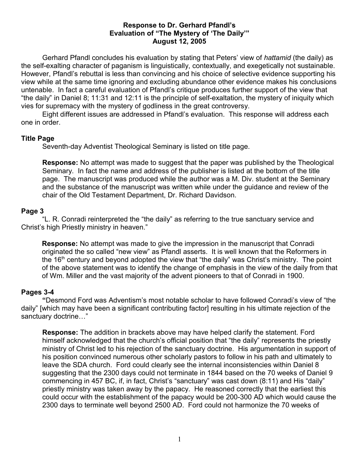## **Response to Dr. Gerhard Pfandl's Evaluation of "The Mystery of 'The Daily'" August 12, 2005**

Gerhard Pfandl concludes his evaluation by stating that Peters' view of *hattamid* (the daily) as the self-exalting character of paganism is linguistically, contextually, and exegetically not sustainable. However, Pfandl's rebuttal is less than convincing and his choice of selective evidence supporting his view while at the same time ignoring and excluding abundance other evidence makes his conclusions untenable. In fact a careful evaluation of Pfandl's critique produces further support of the view that "the daily" in Daniel 8; 11:31 and 12:11 is the principle of self-exaltation, the mystery of iniquity which vies for supremacy with the mystery of godliness in the great controversy.

Eight different issues are addressed in Pfandl's evaluation. This response will address each one in order.

## **Title Page**

Seventh-day Adventist Theological Seminary is listed on title page.

**Response:** No attempt was made to suggest that the paper was published by the Theological Seminary. In fact the name and address of the publisher is listed at the bottom of the title page. The manuscript was produced while the author was a M. Div. student at the Seminary and the substance of the manuscript was written while under the guidance and review of the chair of the Old Testament Department, Dr. Richard Davidson.

## **Page 3**

"L. R. Conradi reinterpreted the "the daily" as referring to the true sanctuary service and Christ's high Priestly ministry in heaven."

**Response:** No attempt was made to give the impression in the manuscript that Conradi originated the so called "new view" as Pfandl asserts. It is well known that the Reformers in the 16<sup>th</sup> century and beyond adopted the view that "the daily" was Christ's ministry. The point of the above statement was to identify the change of emphasis in the view of the daily from that of Wm. Miller and the vast majority of the advent pioneers to that of Conradi in 1900.

## **Pages 3-4**

**"**Desmond Ford was Adventism's most notable scholar to have followed Conradi's view of "the daily" [which may have been a significant contributing factor] resulting in his ultimate rejection of the sanctuary doctrine…"

**Response:** The addition in brackets above may have helped clarify the statement. Ford himself acknowledged that the church's official position that "the daily" represents the priestly ministry of Christ led to his rejection of the sanctuary doctrine. His argumentation in support of his position convinced numerous other scholarly pastors to follow in his path and ultimately to leave the SDA church. Ford could clearly see the internal inconsistencies within Daniel 8 suggesting that the 2300 days could not terminate in 1844 based on the 70 weeks of Daniel 9 commencing in 457 BC, if, in fact, Christ's "sanctuary" was cast down (8:11) and His "daily" priestly ministry was taken away by the papacy. He reasoned correctly that the earliest this could occur with the establishment of the papacy would be 200-300 AD which would cause the 2300 days to terminate well beyond 2500 AD. Ford could not harmonize the 70 weeks of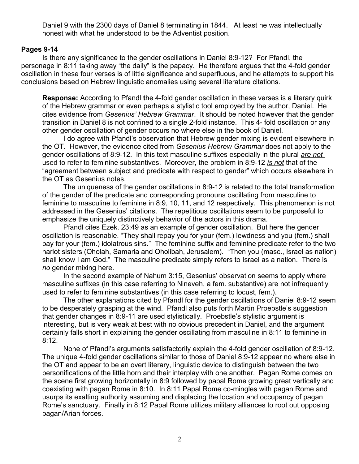Daniel 9 with the 2300 days of Daniel 8 terminating in 1844. At least he was intellectually honest with what he understood to be the Adventist position.

# **Pages 9-14**

Is there any significance to the gender oscillations in Daniel 8:9-12? For Pfandl, the personage in 8:11 taking away "the daily" is the papacy. He therefore argues that the 4-fold gender oscillation in these four verses is of little significance and superfluous, and he attempts to support his conclusions based on Hebrew linguistic anomalies using several literature citations.

**Response:** According to Pfandl **t**he 4-fold gender oscillation in these verses is a literary quirk of the Hebrew grammar or even perhaps a stylistic tool employed by the author, Daniel. He cites evidence from *Gesenius' Hebrew Grammar*. It should be noted however that the gender transition in Daniel 8 is not confined to a single 2-fold instance. This 4- fold oscillation or any other gender oscillation of gender occurs no where else in the book of Daniel.

I do agree with Pfandl's observation that Hebrew gender mixing is evident elsewhere in the OT. However, the evidence cited from *Gesenius Hebrew Grammar* does not apply to the gender oscillations of 8:9-12. In this text masculine suffixes especially in the plural *are not* used to refer to feminine substantives. Moreover, the problem in 8:9-12 *is not* that of the "agreement between subject and predicate with respect to gender" which occurs elsewhere in the OT as Gesenius notes.

The uniqueness of the gender oscillations in 8:9-12 is related to the total transformation of the gender of the predicate and corresponding pronouns oscillating from masculine to feminine to masculine to feminine in 8:9, 10, 11, and 12 respectively. This phenomenon is not addressed in the Gesenius' citations. The repetitious oscillations seem to be purposeful to emphasize the uniquely distinctively behavior of the actors in this drama.

Pfandl cites Ezek. 23:49 as an example of gender oscillation. But here the gender oscillation is reasonable. "They shall repay you for your (fem.) lewdness and you (fem.) shall pay for your (fem.) idolatrous sins." The feminine suffix and feminine predicate refer to the two harlot sisters (Oholah, Samaria and Oholibah, Jerusalem). "Then you (masc., Israel as nation) shall know I am God." The masculine predicate simply refers to Israel as a nation. There is *no* gender mixing here.

In the second example of Nahum 3:15, Gesenius' observation seems to apply where masculine suffixes (in this case referring to Nineveh, a fem. substantive) are not infrequently used to refer to feminine substantives (in this case referring to locust, fem.).

The other explanations cited by Pfandl for the gender oscillations of Daniel 8:9-12 seem to be desperately grasping at the wind. Pfandl also puts forth Martin Proebstle's suggestion that gender changes in 8:9-11 are used stylistically. Proebstle's stylistic argument is interesting, but is very weak at best with no obvious precedent in Daniel, and the argument certainly falls short in explaining the gender oscillating from masculine in 8:11 to feminine in 8:12.

None of Pfandl's arguments satisfactorily explain the 4-fold gender oscillation of 8:9-12. The unique 4-fold gender oscillations similar to those of Daniel 8:9-12 appear no where else in the OT and appear to be an overt literary, linguistic device to distinguish between the two personifications of the little horn and their interplay with one another. Pagan Rome comes on the scene first growing horizontally in 8:9 followed by papal Rome growing great vertically and coexisting with pagan Rome in 8:10. In 8:11 Papal Rome co-mingles with pagan Rome and usurps its exalting authority assuming and displacing the location and occupancy of pagan Rome's sanctuary. Finally in 8:12 Papal Rome utilizes military alliances to root out opposing pagan/Arian forces.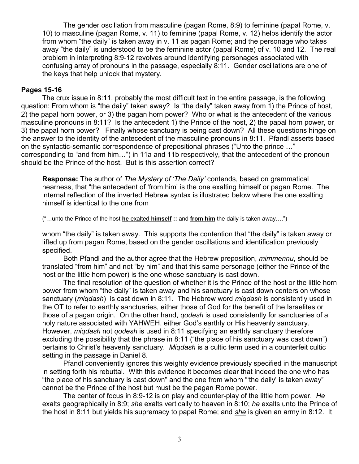The gender oscillation from masculine (pagan Rome, 8:9) to feminine (papal Rome, v. 10) to masculine (pagan Rome, v. 11) to feminine (papal Rome, v. 12) helps identify the actor from whom "the daily" is taken away in v. 11 as pagan Rome; and the personage who takes away "the daily" is understood to be the feminine actor (papal Rome) of v. 10 and 12. The real problem in interpreting 8:9-12 revolves around identifying personages associated with confusing array of pronouns in the passage, especially 8:11. Gender oscillations are one of the keys that help unlock that mystery.

#### **Pages 15-16**

The crux issue in 8:11, probably the most difficult text in the entire passage, is the following question: From whom is "the daily" taken away? Is "the daily" taken away from 1) the Prince of host, 2) the papal horn power, or 3) the pagan horn power? Who or what is the antecedent of the various masculine pronouns in 8:11? Is the antecedent 1) the Prince of the host, 2) the papal horn power, or 3) the papal horn power? Finally whose sanctuary is being cast down? All these questions hinge on the answer to the identity of the antecedent of the masculine pronouns in 8:11. Pfandl asserts based on the syntactic-semantic correspondence of prepositional phrases ("Unto the prince …" corresponding to "and from him…") in 11a and 11b respectively, that the antecedent of the pronoun should be the Prince of the host. But is this assertion correct?

**Response:** The author of *The Mystery of 'The Daily'* contends, based on grammatical nearness, that "the antecedent of 'from him' is the one exalting himself or pagan Rome. The internal reflection of the inverted Hebrew syntax is illustrated below where the one exalting himself is identical to the one from

("…unto the Prince of the host **he** exalted **himself ::** and **from him** the daily is taken away….")

whom "the daily" is taken away. This supports the contention that "the daily" is taken away or lifted up from pagan Rome, based on the gender oscillations and identification previously specified.

Both Pfandl and the author agree that the Hebrew preposition, *mimmennu*, should be translated "from him" and not "by him" and that this same personage (either the Prince of the host or the little horn power) is the one whose sanctuary is cast down.

The final resolution of the question of whether it is the Prince of the host or the little horn power from whom "the daily" is taken away and his sanctuary is cast down centers on whose sanctuary (*miqdash*) is cast down in 8:11. The Hebrew word *miqdash* is consistently used in the OT to refer to earthly sanctuaries, either those of God for the benefit of the Israelites or those of a pagan origin. On the other hand, *qodesh* is used consistently for sanctuaries of a holy nature associated with YAHWEH, either God's earthly or His heavenly sanctuary. However, *miqdash* not *qodesh* is used in 8:11 specifying an earthly sanctuary therefore excluding the possibility that the phrase in 8:11 ("the place of his sanctuary was cast down") pertains to Christ's heavenly sanctuary. *Miqdash* is a cultic term used in a counterfeit cultic setting in the passage in Daniel 8.

Pfandl conveniently ignores this weighty evidence previously specified in the manuscript in setting forth his rebuttal. With this evidence it becomes clear that indeed the one who has "the place of his sanctuary is cast down" and the one from whom "'the daily' is taken away" cannot be the Prince of the host but must be the pagan Rome power.

The center of focus in 8:9-12 is on play and counter-play of the little horn power. *He* exalts geographically in 8:9; *she* exalts vertically to heaven in 8:10; *he* exalts unto the Prince of the host in 8:11 but yields his supremacy to papal Rome; and *she* is given an army in 8:12. It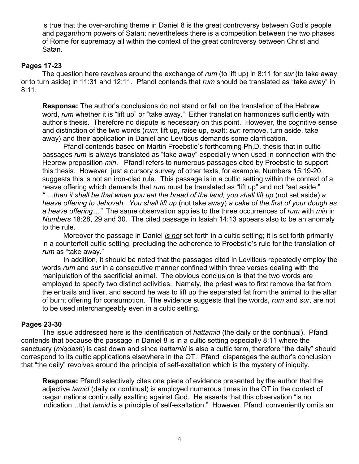is true that the over-arching theme in Daniel 8 is the great controversy between God's people and pagan/horn powers of Satan; nevertheless there is a competition between the two phases of Rome for supremacy all within the context of the great controversy between Christ and Satan.

## **Pages 17-23**

The question here revolves around the exchange of *rum* (to lift up) in 8:11 for *sur* (to take away or to turn aside) in 11:31 and 12:11. Pfandl contends that *rum* should be translated as "take away" in 8:11.

**Response:** The author's conclusions do not stand or fall on the translation of the Hebrew word, *rum* whether it is "lift up" or "take away."Either translation harmonizes sufficiently with author's thesis. Therefore no dispute is necessary on this point. However, the cognitive sense and distinction of the two words (*rum*: lift up, raise up, exalt; *sur*: remove, turn aside, take away) and their application in Daniel and Leviticus demands some clarification.

Pfandl contends based on Martin Proebstle's forthcoming Ph.D. thesis that in cultic passages *rum* is always translated as "take away" especially when used in connection with the Hebrew preposition *min*. Pfandl refers to numerous passages cited by Proebstle to support this thesis. However, just a cursory survey of other texts, for example, Numbers 15:19-20, suggests this is not an iron-clad rule. This passage is in a cultic setting within the context of a heave offering which demands that *rum* must be translated as "lift up" and not "set aside." *"….then it shall be that when you eat the bread of the land, you shall lift up* (not set aside) *a heave offering to Jehovah. You shall lift up* (not take away) *a cake of the first of your dough as a heave offering…"* The same observation applies to the three occurrences of *rum* with *min* in *Numbers* 18:28, 29 and 30. The cited passage in Isaiah 14:13 appears also to be an anomaly to the rule.

Moreover the passage in Daniel *is not* set forth in a cultic setting; it is set forth primarily in a counterfeit cultic setting, precluding the adherence to Proebstle's rule for the translation of *rum* as "take away."

In addition, it should be noted that the passages cited in Leviticus repeatedly employ the words *rum* and *sur* in a consecutive manner confined within three verses dealing with the manipulation of the sacrificial animal. The obvious conclusion is that the two words are employed to specify two distinct activities. Namely, the priest was to first remove the fat from the entrails and liver, and second he was to lift up the separated fat from the animal to the altar of burnt offering for consumption. The evidence suggests that the words, *rum* and *sur*, are not to be used interchangeably even in a cultic setting.

#### **Pages 23-30**

The issue addressed here is the identification of *hattamid* (the daily or the continual). Pfandl contends that because the passage in Daniel 8 is in a cultic setting especially 8:11 where the sanctuary (*miqdash*) is cast down and since *hattamid* is also a cultic term, therefore "the daily" should correspond to its cultic applications elsewhere in the OT. Pfandl disparages the author's conclusion that "the daily" revolves around the principle of self-exaltation which is the mystery of iniquity.

**Response:** Pfandl selectively cites one piece of evidence presented by the author that the adjective *tamid* (daily or continual) is employed numerous times in the OT in the context of pagan nations continually exalting against God. He asserts that this observation "is no indication…that *tamid* is a principle of self-exaltation." However, Pfandl conveniently omits an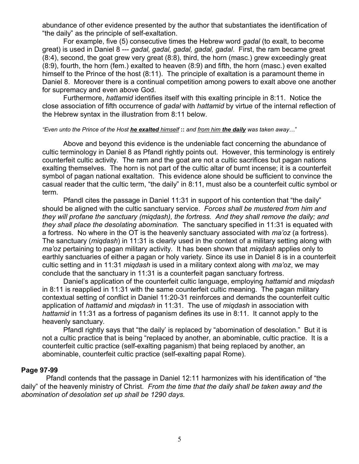abundance of other evidence presented by the author that substantiates the identification of "the daily" as the principle of self-exaltation.

For example, five (5) consecutive times the Hebrew word *gadal* (to exalt, to become great) is used in Daniel 8 --- *gadal, gadal, gadal, gadal, gadal*. First, the ram became great (8:4), second, the goat grew very great (8:8), third, the horn (masc.) grew exceedingly great (8:9), fourth, the horn (fem.) exalted to heaven (8:9) and fifth, the horn (masc.) even exalted himself to the Prince of the host (8:11). The principle of exaltation is a paramount theme in Daniel 8. Moreover there is a continual competition among powers to exalt above one another for supremacy and even above God.

Furthermore, *hattamid* identifies itself with this exalting principle in 8:11. Notice the close association of fifth occurrence of *gadal* with *hattamid* by virtue of the internal reflection of the Hebrew syntax in the illustration from 8:11 below.

#### *"Even unto the Prince of the Host he exalted himself* **::** *and from him the daily was taken away*…"

Above and beyond this evidence is the undeniable fact concerning the abundance of cultic terminology in Daniel 8 as Pfandl rightly points out. However, this terminology is entirely counterfeit cultic activity. The ram and the goat are not a cultic sacrifices but pagan nations exalting themselves. The horn is not part of the cultic altar of burnt incense; it is a counterfeit symbol of pagan national exaltation. This evidence alone should be sufficient to convince the casual reader that the cultic term, "the daily" in 8:11, must also be a counterfeit cultic symbol or term.

Pfandl cites the passage in Daniel 11:31 in support of his contention that "the daily" should be aligned with the cultic sanctuary service. *Forces shall be mustered from him and they will profane the sanctuary (miqdash), the fortress. And they shall remove the daily; and they shall place the desolating abomination.* The sanctuary specified in 11:31 is equated with a fortress. No where in the OT is the heavenly sanctuary associated with *ma'oz* (a fortress). The sanctuary (*miqdash*) in 11:31 is clearly used in the context of a military setting along with *ma'oz* pertaining to pagan military activity. It has been shown that *miqdash* applies only to earthly sanctuaries of either a pagan or holy variety. Since its use in Daniel 8 is in a counterfeit cultic setting and in 11:31 *miqdash* is used in a military context along with *ma'oz*, we may conclude that the sanctuary in 11:31 is a counterfeit pagan sanctuary fortress.

Daniel's application of the counterfeit cultic language, employing *hattamid* and *miqdash* in 8:11 is reapplied in 11:31 with the same counterfeit cultic meaning. The pagan military contextual setting of conflict in Daniel 11:20-31 reinforces and demands the counterfeit cultic application of *hattamid* and *miqdash* in 11:31. The use of *miqdash* in association with *hattamid* in 11:31 as a fortress of paganism defines its use in 8:11. It cannot apply to the heavenly sanctuary.

Pfandl rightly says that "the daily' is replaced by "abomination of desolation." But it is not a cultic practice that is being "replaced by another, an abominable, cultic practice. It is a counterfeit cultic practice (self-exalting paganism) that being replaced by another, an abominable, counterfeit cultic practice (self-exalting papal Rome).

#### **Page 97-99**

 Pfandl contends that the passage in Daniel 12:11 harmonizes with his identification of "the daily" of the heavenly ministry of Christ. *From the time that the daily shall be taken away and the abomination of desolation set up shall be 1290 days.*